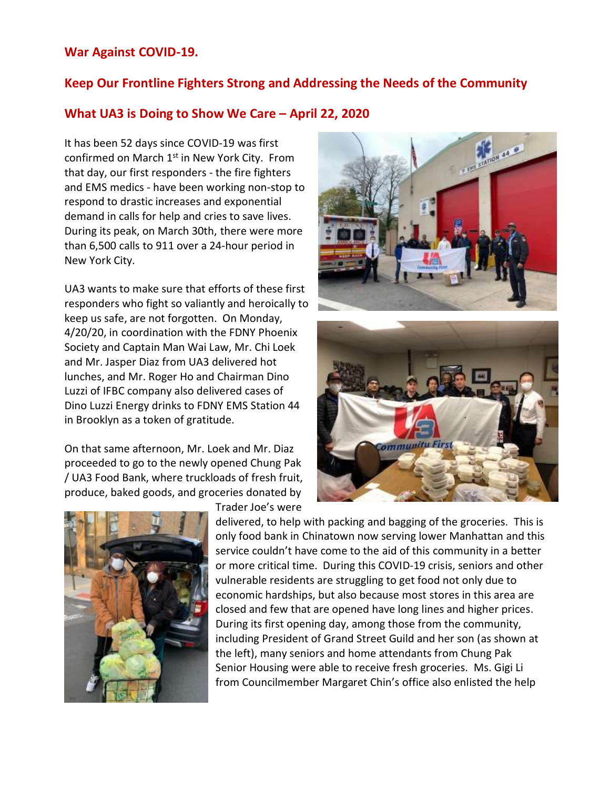## **War Against COVID-19.**

## **Keep Our Frontline Fighters Strong and Addressing the Needs of the Community**

## **What UA3 is Doing to Show We Care – April 22, 2020**

It has been 52 days since COVID-19 was first confirmed on March 1<sup>st</sup> in New York City. From that day, our first responders - the fire fighters and EMS medics - have been working non-stop to respond to drastic increases and exponential demand in calls for help and cries to save lives. During its peak, on March 30th, there were more than 6,500 calls to 911 over a 24-hour period in New York City.

UA3 wants to make sure that efforts of these first responders who fight so valiantly and heroically to keep us safe, are not forgotten. On Monday, 4/20/20, in coordination with the FDNY Phoenix Society and Captain Man Wai Law, Mr. Chi Loek and Mr. Jasper Diaz from UA3 delivered hot lunches, and Mr. Roger Ho and Chairman Dino Luzzi of IFBC company also delivered cases of Dino Luzzi Energy drinks to FDNY EMS Station 44 in Brooklyn as a token of gratitude.

On that same afternoon, Mr. Loek and Mr. Diaz proceeded to go to the newly opened Chung Pak / UA3 Food Bank, where truckloads of fresh fruit, produce, baked goods, and groceries donated by



Trader Joe's were





delivered, to help with packing and bagging of the groceries. This is only food bank in Chinatown now serving lower Manhattan and this service couldn't have come to the aid of this community in a better or more critical time. During this COVID-19 crisis, seniors and other vulnerable residents are struggling to get food not only due to economic hardships, but also because most stores in this area are closed and few that are opened have long lines and higher prices. During its first opening day, among those from the community, including President of Grand Street Guild and her son (as shown at the left), many seniors and home attendants from Chung Pak Senior Housing were able to receive fresh groceries. Ms. Gigi Li from Councilmember Margaret Chin's office also enlisted the help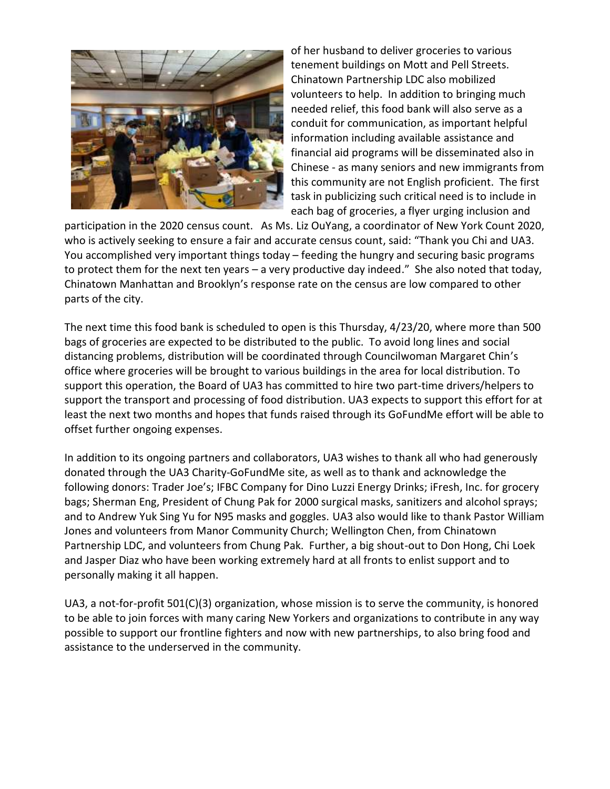

of her husband to deliver groceries to various tenement buildings on Mott and Pell Streets. Chinatown Partnership LDC also mobilized volunteers to help. In addition to bringing much needed relief, this food bank will also serve as a conduit for communication, as important helpful information including available assistance and financial aid programs will be disseminated also in Chinese - as many seniors and new immigrants from this community are not English proficient. The first task in publicizing such critical need is to include in each bag of groceries, a flyer urging inclusion and

participation in the 2020 census count. As Ms. Liz OuYang, a coordinator of New York Count 2020, who is actively seeking to ensure a fair and accurate census count, said: "Thank you Chi and UA3. You accomplished very important things today – feeding the hungry and securing basic programs to protect them for the next ten years – a very productive day indeed." She also noted that today, Chinatown Manhattan and Brooklyn's response rate on the census are low compared to other parts of the city.

The next time this food bank is scheduled to open is this Thursday, 4/23/20, where more than 500 bags of groceries are expected to be distributed to the public. To avoid long lines and social distancing problems, distribution will be coordinated through Councilwoman Margaret Chin's office where groceries will be brought to various buildings in the area for local distribution. To support this operation, the Board of UA3 has committed to hire two part-time drivers/helpers to support the transport and processing of food distribution. UA3 expects to support this effort for at least the next two months and hopes that funds raised through its GoFundMe effort will be able to offset further ongoing expenses.

In addition to its ongoing partners and collaborators, UA3 wishes to thank all who had generously donated through the UA3 Charity-GoFundMe site, as well as to thank and acknowledge the following donors: Trader Joe's; IFBC Company for Dino Luzzi Energy Drinks; iFresh, Inc. for grocery bags; Sherman Eng, President of Chung Pak for 2000 surgical masks, sanitizers and alcohol sprays; and to Andrew Yuk Sing Yu for N95 masks and goggles. UA3 also would like to thank Pastor William Jones and volunteers from Manor Community Church; Wellington Chen, from Chinatown Partnership LDC, and volunteers from Chung Pak. Further, a big shout-out to Don Hong, Chi Loek and Jasper Diaz who have been working extremely hard at all fronts to enlist support and to personally making it all happen.

UA3, a not-for-profit 501(C)(3) organization, whose mission is to serve the community, is honored to be able to join forces with many caring New Yorkers and organizations to contribute in any way possible to support our frontline fighters and now with new partnerships, to also bring food and assistance to the underserved in the community.